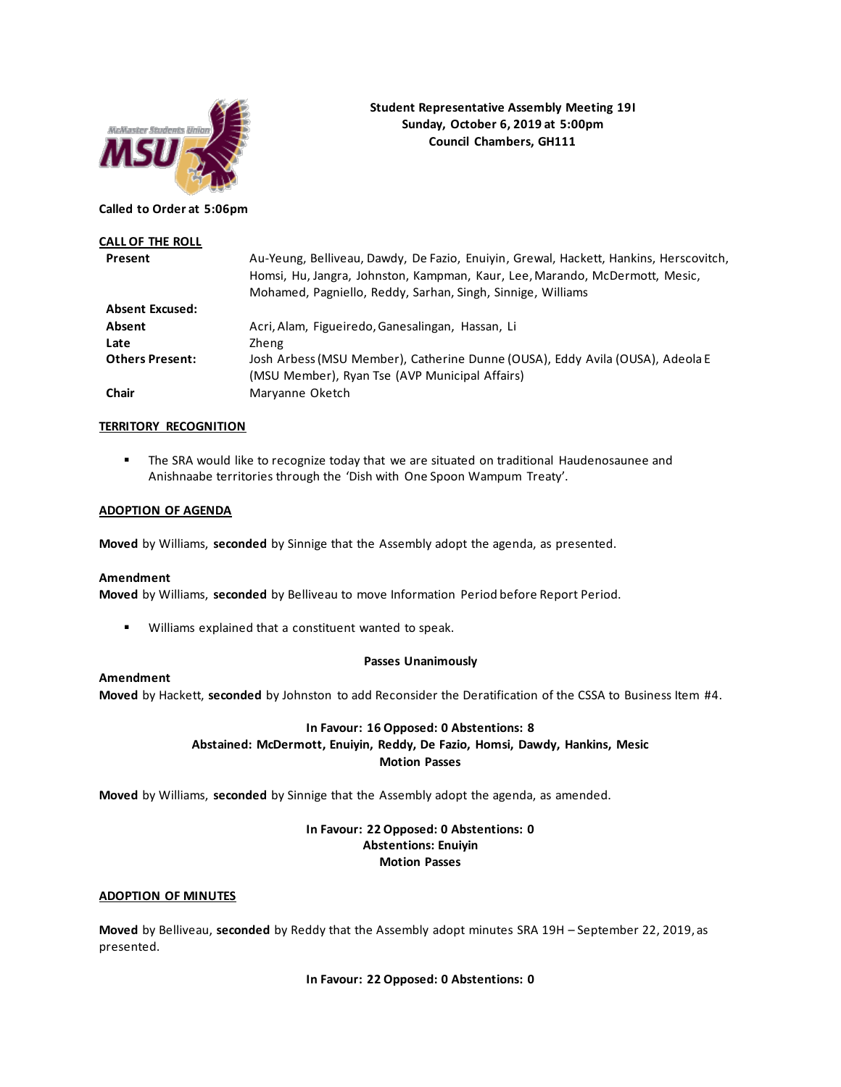

#### **Called to Order at 5:06pm**

| <b>CALL OF THE ROLL</b> |                                                                                       |
|-------------------------|---------------------------------------------------------------------------------------|
| Present                 | Au-Yeung, Belliveau, Dawdy, De Fazio, Enuiyin, Grewal, Hackett, Hankins, Herscovitch, |
|                         | Homsi, Hu, Jangra, Johnston, Kampman, Kaur, Lee, Marando, McDermott, Mesic,           |
|                         | Mohamed, Pagniello, Reddy, Sarhan, Singh, Sinnige, Williams                           |
| <b>Absent Excused:</b>  |                                                                                       |
| Absent                  | Acri, Alam, Figueiredo, Ganesalingan, Hassan, Li                                      |
| Late                    | Zheng                                                                                 |
| <b>Others Present:</b>  | Josh Arbess (MSU Member), Catherine Dunne (OUSA), Eddy Avila (OUSA), Adeola E         |
|                         | (MSU Member), Ryan Tse (AVP Municipal Affairs)                                        |
| Chair                   | Maryanne Oketch                                                                       |

**Student Representative Assembly Meeting 19I Sunday, October 6, 2019 at 5:00pm Council Chambers, GH111**

#### **TERRITORY RECOGNITION**

■ The SRA would like to recognize today that we are situated on traditional Haudenosaunee and Anishnaabe territories through the 'Dish with One Spoon Wampum Treaty'.

#### **ADOPTION OF AGENDA**

**Moved** by Williams, **seconded** by Sinnige that the Assembly adopt the agenda, as presented.

#### **Amendment**

**Moved** by Williams, **seconded** by Belliveau to move Information Period before Report Period.

▪ Williams explained that a constituent wanted to speak.

#### **Passes Unanimously**

# **Amendment**

**Moved** by Hackett, **seconded** by Johnston to add Reconsider the Deratification of the CSSA to Business Item #4.

# **In Favour: 16 Opposed: 0 Abstentions: 8 Abstained: McDermott, Enuiyin, Reddy, De Fazio, Homsi, Dawdy, Hankins, Mesic**

**Motion Passes**

**Moved** by Williams, **seconded** by Sinnige that the Assembly adopt the agenda, as amended.

# **In Favour: 22 Opposed: 0 Abstentions: 0 Abstentions: Enuiyin Motion Passes**

#### **ADOPTION OF MINUTES**

**Moved** by Belliveau, **seconded** by Reddy that the Assembly adopt minutes SRA 19H – September 22, 2019, as presented.

**In Favour: 22 Opposed: 0 Abstentions: 0**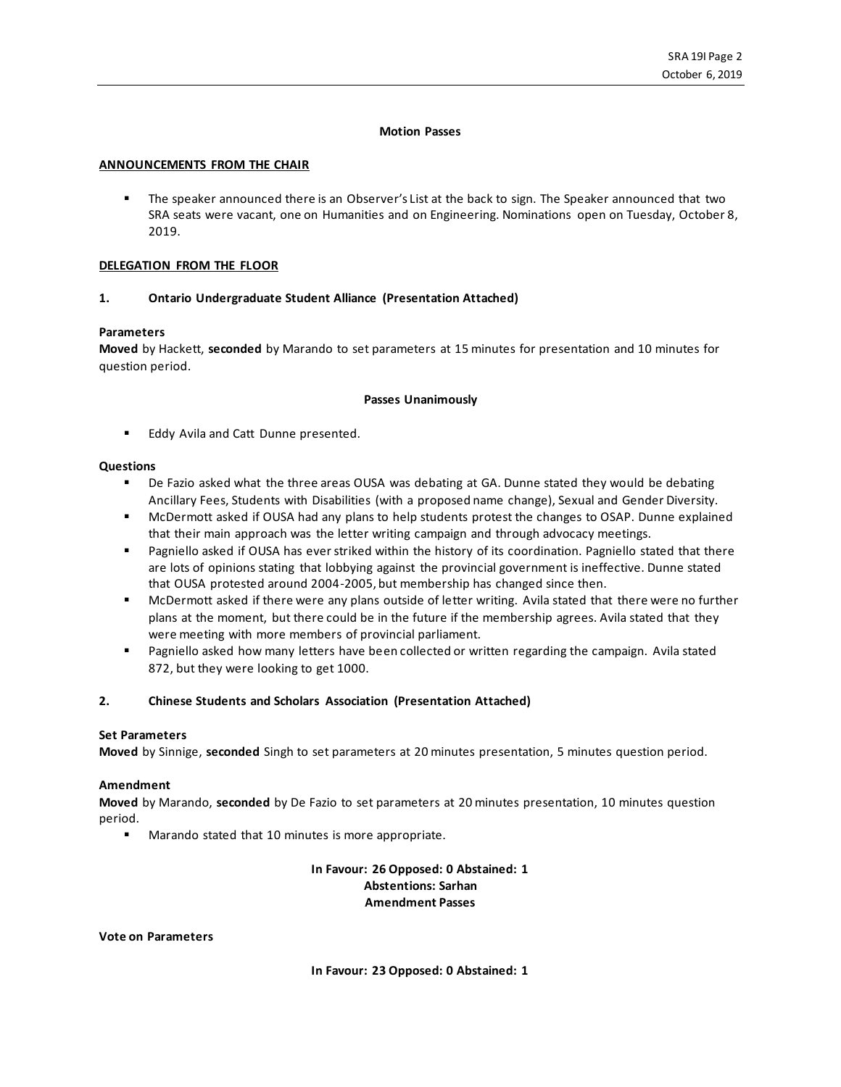#### **Motion Passes**

# **ANNOUNCEMENTS FROM THE CHAIR**

The speaker announced there is an Observer's List at the back to sign. The Speaker announced that two SRA seats were vacant, one on Humanities and on Engineering. Nominations open on Tuesday, October 8, 2019.

# **DELEGATION FROM THE FLOOR**

# **1. Ontario Undergraduate Student Alliance (Presentation Attached)**

# **Parameters**

**Moved** by Hackett, **seconded** by Marando to set parameters at 15 minutes for presentation and 10 minutes for question period.

# **Passes Unanimously**

■ Eddy Avila and Catt Dunne presented.

# **Questions**

- De Fazio asked what the three areas OUSA was debating at GA. Dunne stated they would be debating Ancillary Fees, Students with Disabilities (with a proposed name change), Sexual and Gender Diversity.
- McDermott asked if OUSA had any plans to help students protest the changes to OSAP. Dunne explained that their main approach was the letter writing campaign and through advocacy meetings.
- Pagniello asked if OUSA has ever striked within the history of its coordination. Pagniello stated that there are lots of opinions stating that lobbying against the provincial government is ineffective. Dunne stated that OUSA protested around 2004-2005, but membership has changed since then.
- McDermott asked if there were any plans outside of letter writing. Avila stated that there were no further plans at the moment, but there could be in the future if the membership agrees. Avila stated that they were meeting with more members of provincial parliament.
- Pagniello asked how many letters have been collected or written regarding the campaign. Avila stated 872, but they were looking to get 1000.

# **2. Chinese Students and Scholars Association (Presentation Attached)**

# **Set Parameters**

**Moved** by Sinnige, **seconded** Singh to set parameters at 20 minutes presentation, 5 minutes question period.

# **Amendment**

**Moved** by Marando, **seconded** by De Fazio to set parameters at 20 minutes presentation, 10 minutes question period.

Marando stated that 10 minutes is more appropriate.

**In Favour: 26 Opposed: 0 Abstained: 1 Abstentions: Sarhan Amendment Passes**

**Vote on Parameters**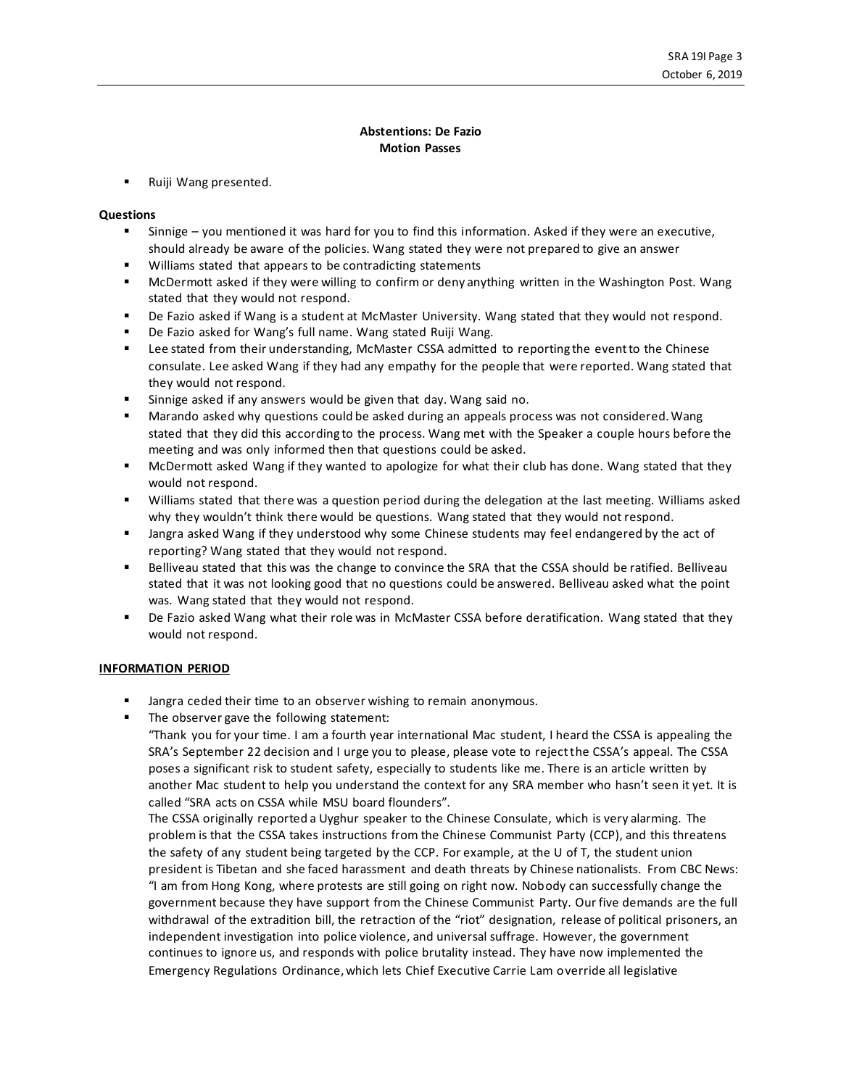# **Abstentions: De Fazio Motion Passes**

Ruiji Wang presented.

# **Questions**

- Sinnige you mentioned it was hard for you to find this information. Asked if they were an executive, should already be aware of the policies. Wang stated they were not prepared to give an answer
- Williams stated that appears to be contradicting statements
- McDermott asked if they were willing to confirm or deny anything written in the Washington Post. Wang stated that they would not respond.
- De Fazio asked if Wang is a student at McMaster University. Wang stated that they would not respond.
- De Fazio asked for Wang's full name. Wang stated Ruiji Wang.
- Lee stated from their understanding, McMaster CSSA admitted to reporting the event to the Chinese consulate. Lee asked Wang if they had any empathy for the people that were reported. Wang stated that they would not respond.
- Sinnige asked if any answers would be given that day. Wang said no.
- Marando asked why questions could be asked during an appeals process was not considered. Wang stated that they did this according to the process. Wang met with the Speaker a couple hours before the meeting and was only informed then that questions could be asked.
- McDermott asked Wang if they wanted to apologize for what their club has done. Wang stated that they would not respond.
- Williams stated that there was a question period during the delegation at the last meeting. Williams asked why they wouldn't think there would be questions. Wang stated that they would not respond.
- Jangra asked Wang if they understood why some Chinese students may feel endangered by the act of reporting? Wang stated that they would not respond.
- Belliveau stated that this was the change to convince the SRA that the CSSA should be ratified. Belliveau stated that it was not looking good that no questions could be answered. Belliveau asked what the point was. Wang stated that they would not respond.
- De Fazio asked Wang what their role was in McMaster CSSA before deratification. Wang stated that they would not respond.

# **INFORMATION PERIOD**

- Jangra ceded their time to an observer wishing to remain anonymous.
- The observer gave the following statement:

"Thank you for your time. I am a fourth year international Mac student, I heard the CSSA is appealing the SRA's September 22 decision and I urge you to please, please vote to reject the CSSA's appeal. The CSSA poses a significant risk to student safety, especially to students like me. There is an article written by another Mac student to help you understand the context for any SRA member who hasn't seen it yet. It is called "SRA acts on CSSA while MSU board flounders".

The CSSA originally reported a Uyghur speaker to the Chinese Consulate, which is very alarming. The problem is that the CSSA takes instructions from the Chinese Communist Party (CCP), and this threatens the safety of any student being targeted by the CCP. For example, at the U of T, the student union president is Tibetan and she faced harassment and death threats by Chinese nationalists. From CBC News: "I am from Hong Kong, where protests are still going on right now. Nobody can successfully change the government because they have support from the Chinese Communist Party. Our five demands are the full withdrawal of the extradition bill, the retraction of the "riot" designation, release of political prisoners, an independent investigation into police violence, and universal suffrage. However, the government continues to ignore us, and responds with police brutality instead. They have now implemented the Emergency Regulations Ordinance, which lets Chief Executive Carrie Lam override all legislative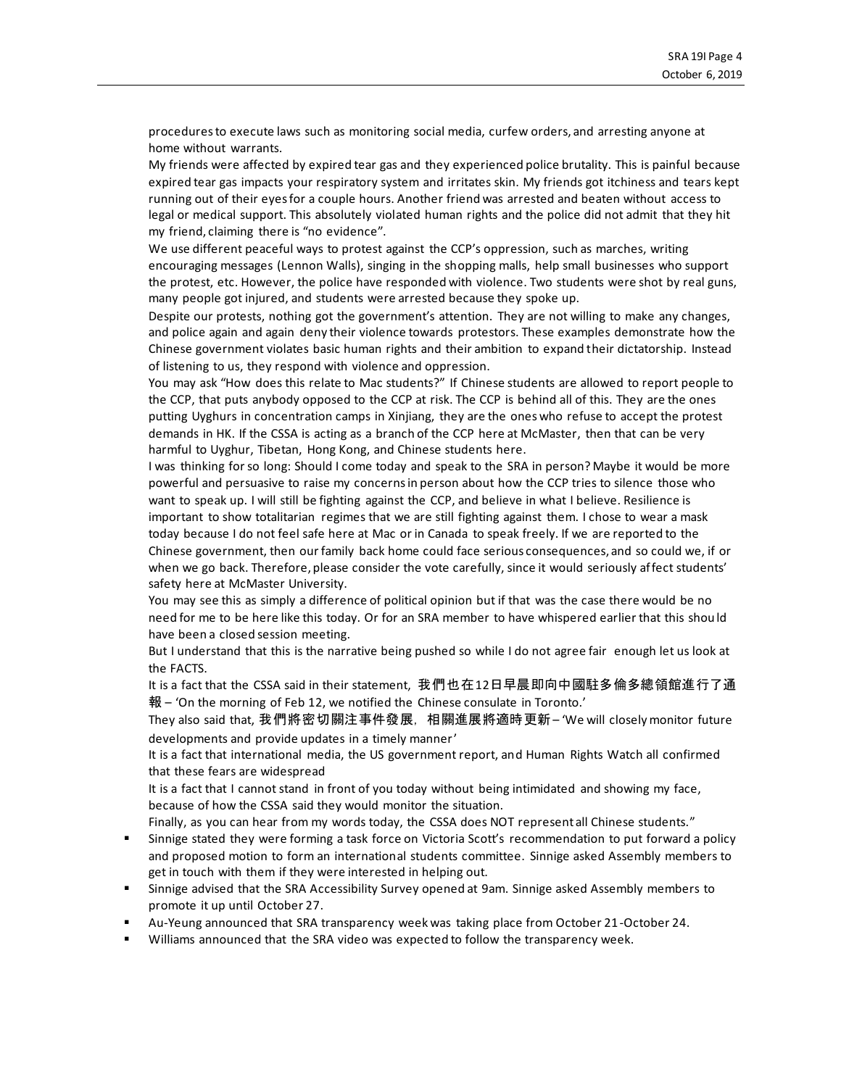procedures to execute laws such as monitoring social media, curfew orders, and arresting anyone at home without warrants.

My friends were affected by expired tear gas and they experienced police brutality. This is painful because expired tear gas impacts your respiratory system and irritates skin. My friends got itchiness and tears kept running out of their eyes for a couple hours. Another friend was arrested and beaten without access to legal or medical support. This absolutely violated human rights and the police did not admit that they hit my friend, claiming there is "no evidence".

We use different peaceful ways to protest against the CCP's oppression, such as marches, writing encouraging messages (Lennon Walls), singing in the shopping malls, help small businesses who support the protest, etc. However, the police have responded with violence. Two students were shot by real guns, many people got injured, and students were arrested because they spoke up.

Despite our protests, nothing got the government's attention. They are not willing to make any changes, and police again and again deny their violence towards protestors. These examples demonstrate how the Chinese government violates basic human rights and their ambition to expand their dictatorship. Instead of listening to us, they respond with violence and oppression.

You may ask "How does this relate to Mac students?" If Chinese students are allowed to report people to the CCP, that puts anybody opposed to the CCP at risk. The CCP is behind all of this. They are the ones putting Uyghurs in concentration camps in Xinjiang, they are the ones who refuse to accept the protest demands in HK. If the CSSA is acting as a branch of the CCP here at McMaster, then that can be very harmful to Uyghur, Tibetan, Hong Kong, and Chinese students here.

I was thinking for so long: Should I come today and speak to the SRA in person? Maybe it would be more powerful and persuasive to raise my concerns in person about how the CCP tries to silence those who want to speak up. I will still be fighting against the CCP, and believe in what I believe. Resilience is important to show totalitarian regimes that we are still fighting against them. I chose to wear a mask today because I do not feel safe here at Mac or in Canada to speak freely. If we are reported to the Chinese government, then our family back home could face serious consequences, and so could we, if or when we go back. Therefore, please consider the vote carefully, since it would seriously affect students' safety here at McMaster University.

You may see this as simply a difference of political opinion but if that was the case there would be no need for me to be here like this today. Or for an SRA member to have whispered earlier that this shou ld have been a closed session meeting.

But I understand that this is the narrative being pushed so while I do not agree fair enough let us look at the FACTS.

It is a fact that the CSSA said in their statement, 我們也在12日早晨即向中國駐多倫多總領館進行了通 報 – 'On the morning of Feb 12, we notified the Chinese consulate in Toronto.'

They also said that, 我們將密切關注事件發展,相關進展將適時更新– 'We will closely monitor future developments and provide updates in a timely manner'

It is a fact that international media, the US government report, and Human Rights Watch all confirmed that these fears are widespread

It is a fact that I cannot stand in front of you today without being intimidated and showing my face, because of how the CSSA said they would monitor the situation.

Finally, as you can hear from my words today, the CSSA does NOT represent all Chinese students."

- Sinnige stated they were forming a task force on Victoria Scott's recommendation to put forward a policy and proposed motion to form an international students committee. Sinnige asked Assembly members to get in touch with them if they were interested in helping out.
- **EXED Sinnige advised that the SRA Accessibility Survey opened at 9am. Sinnige asked Assembly members to** promote it up until October 27.
- Au-Yeung announced that SRA transparency week was taking place from October 21-October 24.
- Williams announced that the SRA video was expected to follow the transparency week.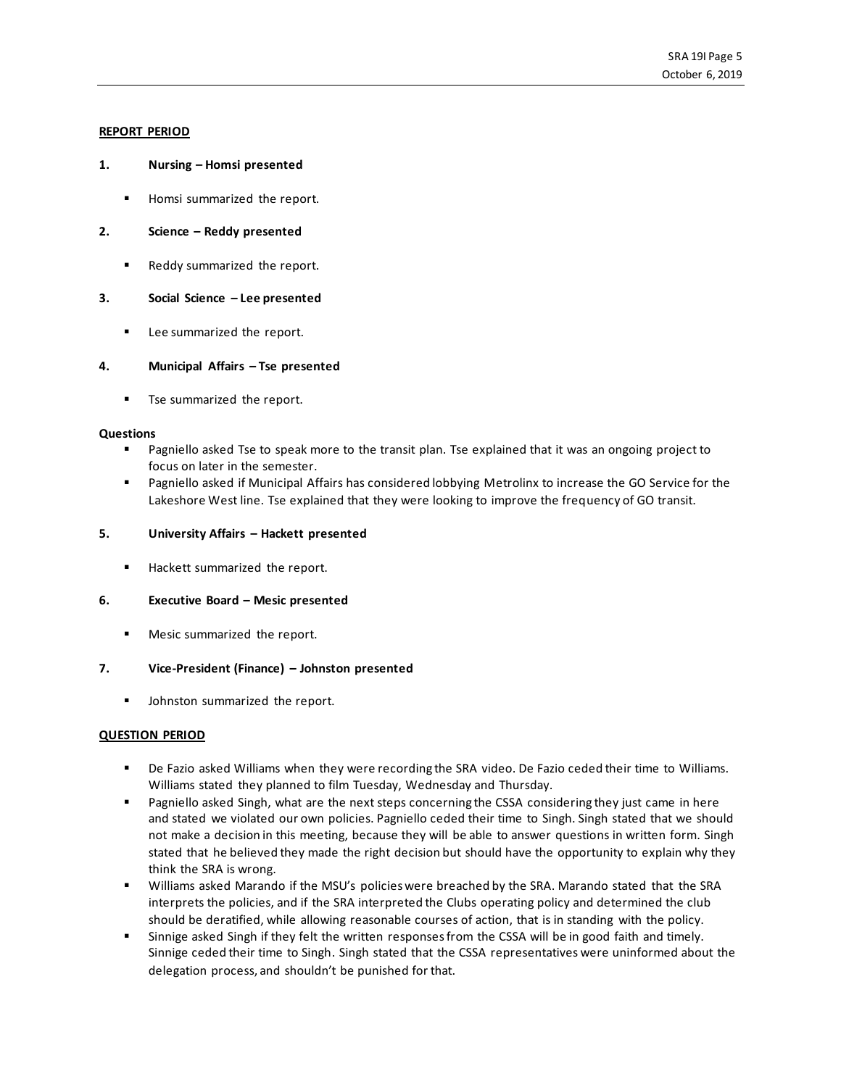# **REPORT PERIOD**

#### **1. Nursing – Homsi presented**

■ Homsi summarized the report.

# **2. Science – Reddy presented**

■ Reddy summarized the report.

# **3. Social Science – Lee presented**

▪ Lee summarized the report.

#### **4. Municipal Affairs – Tse presented**

■ Tse summarized the report.

#### **Questions**

- Pagniello asked Tse to speak more to the transit plan. Tse explained that it was an ongoing project to focus on later in the semester.
- Pagniello asked if Municipal Affairs has considered lobbying Metrolinx to increase the GO Service for the Lakeshore West line. Tse explained that they were looking to improve the frequency of GO transit.

# **5. University Affairs – Hackett presented**

■ Hackett summarized the report.

# **6. Executive Board – Mesic presented**

Mesic summarized the report.

#### **7. Vice-President (Finance) – Johnston presented**

**■** Johnston summarized the report.

# **QUESTION PERIOD**

- De Fazio asked Williams when they were recording the SRA video. De Fazio ceded their time to Williams. Williams stated they planned to film Tuesday, Wednesday and Thursday.
- Pagniello asked Singh, what are the next steps concerning the CSSA considering they just came in here and stated we violated our own policies. Pagniello ceded their time to Singh. Singh stated that we should not make a decision in this meeting, because they will be able to answer questions in written form. Singh stated that he believed they made the right decision but should have the opportunity to explain why they think the SRA is wrong.
- Williams asked Marando if the MSU's policies were breached by the SRA. Marando stated that the SRA interprets the policies, and if the SRA interpreted the Clubs operating policy and determined the club should be deratified, while allowing reasonable courses of action, that is in standing with the policy.
- Sinnige asked Singh if they felt the written responses from the CSSA will be in good faith and timely. Sinnige ceded their time to Singh. Singh stated that the CSSA representatives were uninformed about the delegation process, and shouldn't be punished for that.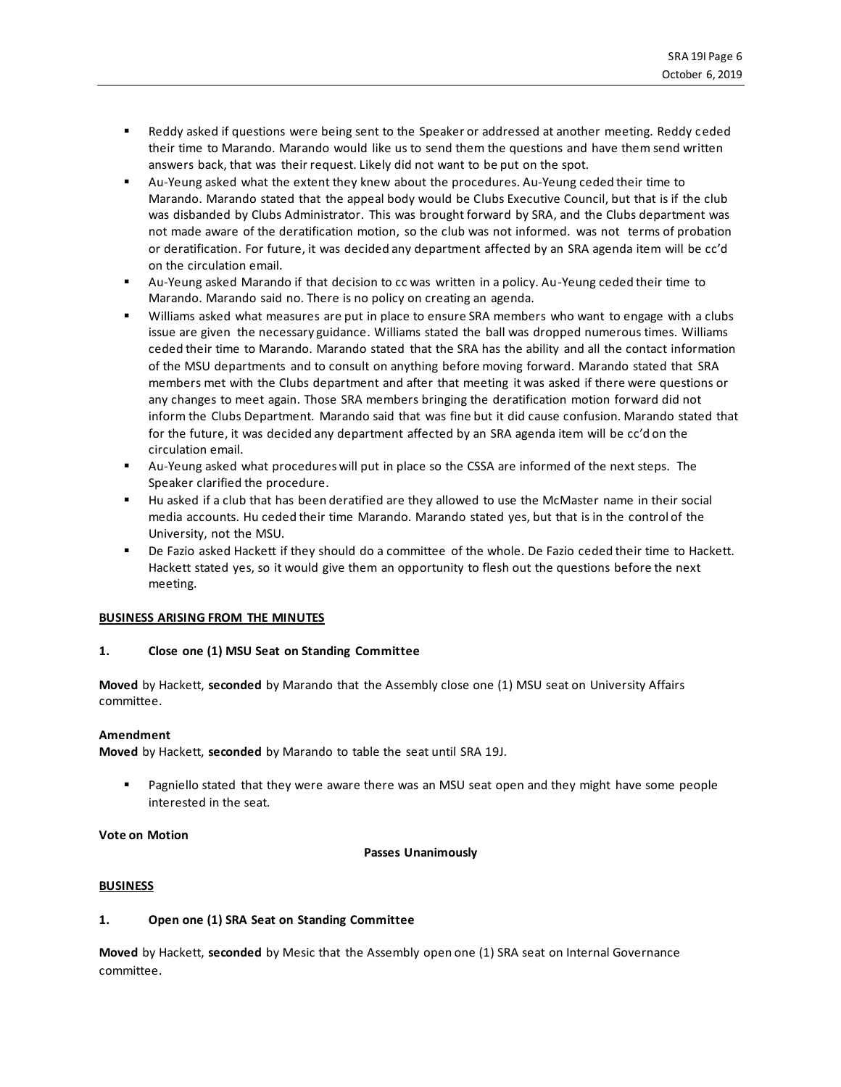- Reddy asked if questions were being sent to the Speaker or addressed at another meeting. Reddy ceded their time to Marando. Marando would like us to send them the questions and have them send written answers back, that was their request. Likely did not want to be put on the spot.
- Au-Yeung asked what the extent they knew about the procedures. Au-Yeung ceded their time to Marando. Marando stated that the appeal body would be Clubs Executive Council, but that is if the club was disbanded by Clubs Administrator. This was brought forward by SRA, and the Clubs department was not made aware of the deratification motion, so the club was not informed. was not terms of probation or deratification. For future, it was decided any department affected by an SRA agenda item will be cc'd on the circulation email.
- Au-Yeung asked Marando if that decision to cc was written in a policy. Au-Yeung ceded their time to Marando. Marando said no. There is no policy on creating an agenda.
- Williams asked what measures are put in place to ensure SRA members who want to engage with a clubs issue are given the necessary guidance. Williams stated the ball was dropped numerous times. Williams ceded their time to Marando. Marando stated that the SRA has the ability and all the contact information of the MSU departments and to consult on anything before moving forward. Marando stated that SRA members met with the Clubs department and after that meeting it was asked if there were questions or any changes to meet again. Those SRA members bringing the deratification motion forward did not inform the Clubs Department. Marando said that was fine but it did cause confusion. Marando stated that for the future, it was decided any department affected by an SRA agenda item will be cc'd on the circulation email.
- Au-Yeung asked what procedures will put in place so the CSSA are informed of the next steps. The Speaker clarified the procedure.
- Hu asked if a club that has been deratified are they allowed to use the McMaster name in their social media accounts. Hu ceded their time Marando. Marando stated yes, but that is in the control of the University, not the MSU.
- De Fazio asked Hackett if they should do a committee of the whole. De Fazio ceded their time to Hackett. Hackett stated yes, so it would give them an opportunity to flesh out the questions before the next meeting.

# **BUSINESS ARISING FROM THE MINUTES**

# **1. Close one (1) MSU Seat on Standing Committee**

**Moved** by Hackett, **seconded** by Marando that the Assembly close one (1) MSU seat on University Affairs committee.

# **Amendment**

**Moved** by Hackett, **seconded** by Marando to table the seat until SRA 19J.

Pagniello stated that they were aware there was an MSU seat open and they might have some people interested in the seat.

# **Vote on Motion**

# **Passes Unanimously**

# **BUSINESS**

# **1. Open one (1) SRA Seat on Standing Committee**

**Moved** by Hackett, **seconded** by Mesic that the Assembly open one (1) SRA seat on Internal Governance committee.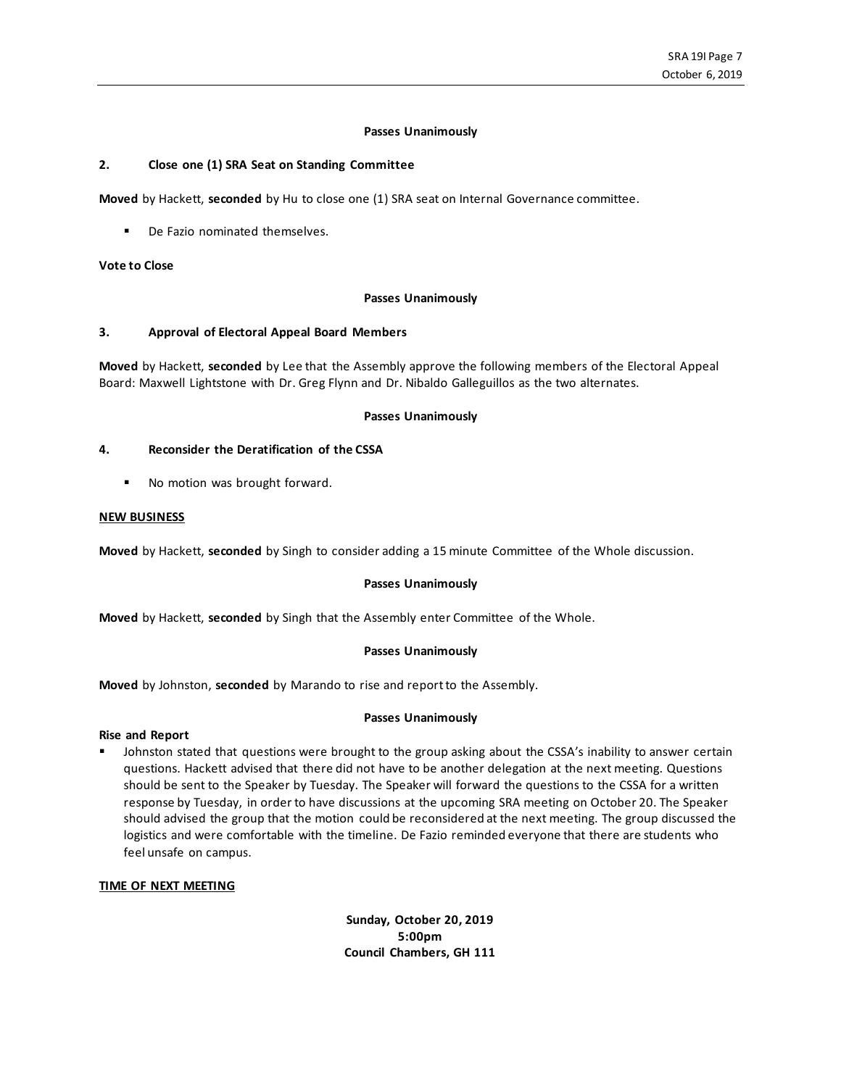# **Passes Unanimously**

# **2. Close one (1) SRA Seat on Standing Committee**

**Moved** by Hackett, **seconded** by Hu to close one (1) SRA seat on Internal Governance committee.

De Fazio nominated themselves.

# **Vote to Close**

# **Passes Unanimously**

# **3. Approval of Electoral Appeal Board Members**

**Moved** by Hackett, **seconded** by Lee that the Assembly approve the following members of the Electoral Appeal Board: Maxwell Lightstone with Dr. Greg Flynn and Dr. Nibaldo Galleguillos as the two alternates.

#### **Passes Unanimously**

# **4. Reconsider the Deratification of the CSSA**

No motion was brought forward.

#### **NEW BUSINESS**

**Moved** by Hackett, **seconded** by Singh to consider adding a 15 minute Committee of the Whole discussion.

# **Passes Unanimously**

**Moved** by Hackett, **seconded** by Singh that the Assembly enter Committee of the Whole.

#### **Passes Unanimously**

**Moved** by Johnston, **seconded** by Marando to rise and reportto the Assembly.

#### **Passes Unanimously**

#### **Rise and Report**

Johnston stated that questions were brought to the group asking about the CSSA's inability to answer certain questions. Hackett advised that there did not have to be another delegation at the next meeting. Questions should be sent to the Speaker by Tuesday. The Speaker will forward the questions to the CSSA for a written response by Tuesday, in order to have discussions at the upcoming SRA meeting on October 20. The Speaker should advised the group that the motion could be reconsidered at the next meeting. The group discussed the logistics and were comfortable with the timeline. De Fazio reminded everyone that there are students who feel unsafe on campus.

#### **TIME OF NEXT MEETING**

**Sunday, October 20, 2019 5:00pm Council Chambers, GH 111**